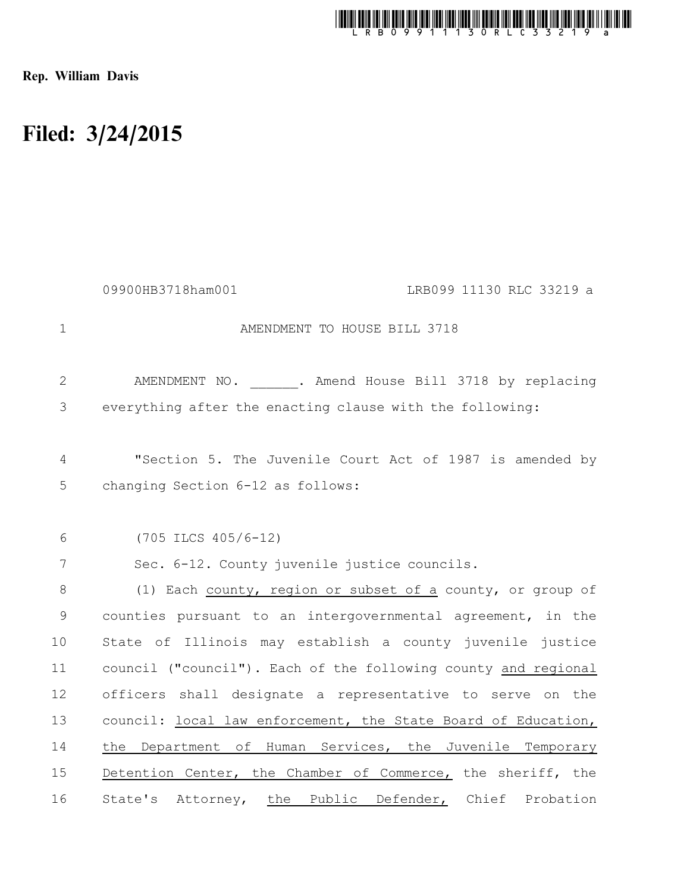

Rep. William Davis

## Filed: 3/24/2015

|              | 09900HB3718ham001<br>LRB099 11130 RLC 33219 a                  |
|--------------|----------------------------------------------------------------|
| $\mathbf 1$  | AMENDMENT TO HOUSE BILL 3718                                   |
| $\mathbf{2}$ | AMENDMENT NO. . Amend House Bill 3718 by replacing             |
| 3            | everything after the enacting clause with the following:       |
| 4            | "Section 5. The Juvenile Court Act of 1987 is amended by       |
| 5            | changing Section 6-12 as follows:                              |
| 6            | $(705$ ILCS $405/6-12)$                                        |
| 7            | Sec. 6-12. County juvenile justice councils.                   |
| $8\,$        | (1) Each county, region or subset of a county, or group of     |
| $\mathsf 9$  | counties pursuant to an intergovernmental agreement, in the    |
| 10           | State of Illinois may establish a county juvenile justice      |
| 11           | council ("council"). Each of the following county and regional |
| 12           | officers shall designate a representative to serve on the      |
| 13           | council: local law enforcement, the State Board of Education,  |
| 14           | the Department of Human Services, the Juvenile Temporary       |
| 15           | Detention Center, the Chamber of Commerce, the sheriff, the    |
| 16           | State's Attorney, the Public Defender, Chief Probation         |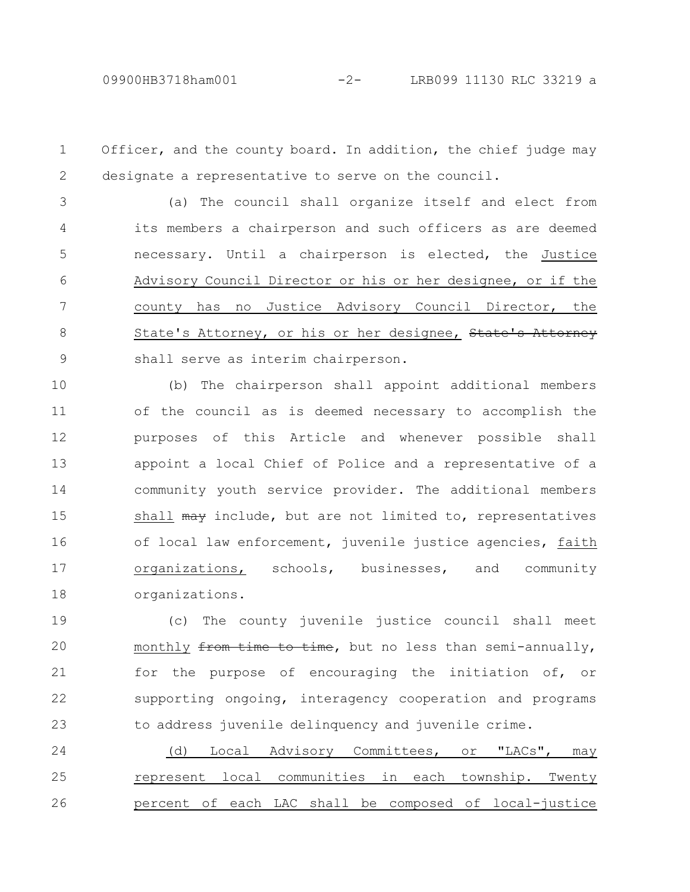Officer, and the county board. In addition, the chief judge may designate a representative to serve on the council. 1 2

(a) The council shall organize itself and elect from its members a chairperson and such officers as are deemed necessary. Until a chairperson is elected, the Justice Advisory Council Director or his or her designee, or if the county has no Justice Advisory Council Director, the State's Attorney, or his or her designee, State's Attorney shall serve as interim chairperson. 3 4 5 6 7 8 9

(b) The chairperson shall appoint additional members of the council as is deemed necessary to accomplish the purposes of this Article and whenever possible shall appoint a local Chief of Police and a representative of a community youth service provider. The additional members shall may include, but are not limited to, representatives of local law enforcement, juvenile justice agencies, faith organizations, schools, businesses, and community organizations. 10 11 12 13 14 15 16 17 18

(c) The county juvenile justice council shall meet monthly from time to time, but no less than semi-annually, for the purpose of encouraging the initiation of, or supporting ongoing, interagency cooperation and programs to address juvenile delinquency and juvenile crime. 19 20 21 22 23

(d) Local Advisory Committees, or "LACs", may represent local communities in each township. Twenty percent of each LAC shall be composed of local-justice 24 25 26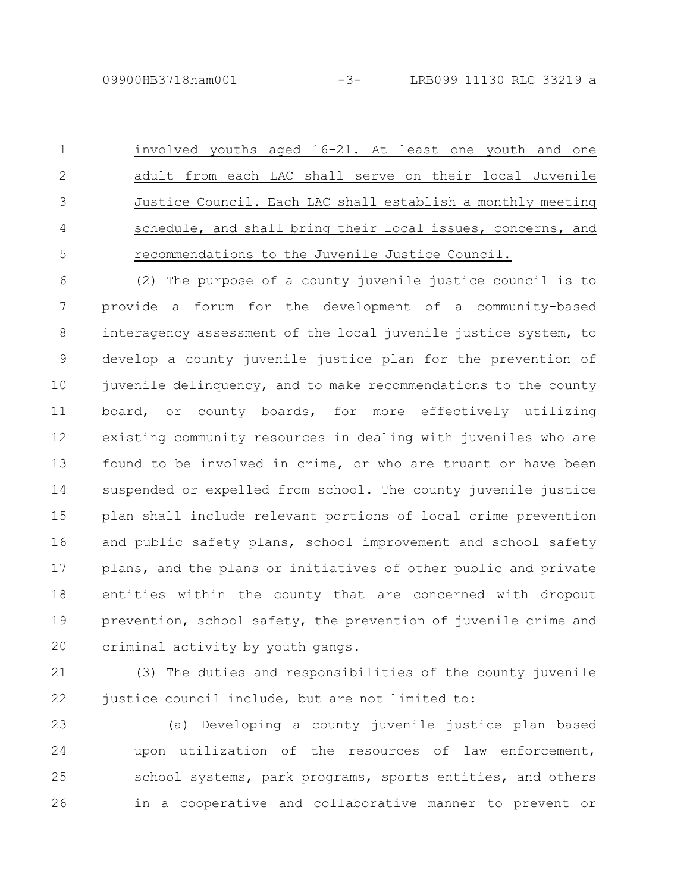involved youths aged 16-21. At least one youth and one adult from each LAC shall serve on their local Juvenile Justice Council. Each LAC shall establish a monthly meeting schedule, and shall bring their local issues, concerns, and recommendations to the Juvenile Justice Council. 1 2 3 4 5

(2) The purpose of a county juvenile justice council is to provide a forum for the development of a community-based interagency assessment of the local juvenile justice system, to develop a county juvenile justice plan for the prevention of juvenile delinquency, and to make recommendations to the county board, or county boards, for more effectively utilizing existing community resources in dealing with juveniles who are found to be involved in crime, or who are truant or have been suspended or expelled from school. The county juvenile justice plan shall include relevant portions of local crime prevention and public safety plans, school improvement and school safety plans, and the plans or initiatives of other public and private entities within the county that are concerned with dropout prevention, school safety, the prevention of juvenile crime and criminal activity by youth gangs. 6 7 8 9 10 11 12 13 14 15 16 17 18 19 20

(3) The duties and responsibilities of the county juvenile justice council include, but are not limited to: 21 22

(a) Developing a county juvenile justice plan based upon utilization of the resources of law enforcement, school systems, park programs, sports entities, and others in a cooperative and collaborative manner to prevent or 23 24 25 26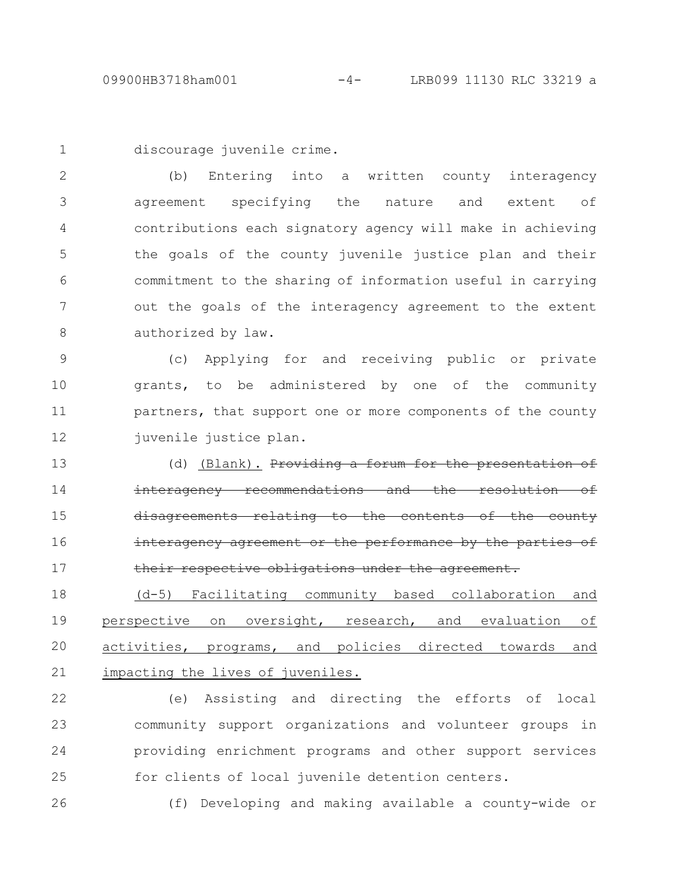discourage juvenile crime. 1

(b) Entering into a written county interagency agreement specifying the nature and extent of contributions each signatory agency will make in achieving the goals of the county juvenile justice plan and their commitment to the sharing of information useful in carrying out the goals of the interagency agreement to the extent authorized by law. 2 3 4 5 6 7 8

(c) Applying for and receiving public or private grants, to be administered by one of the community partners, that support one or more components of the county juvenile justice plan. 9 10 11 12

(d) (Blank). Providing a forum for interagency recommendations and re<del>lating</del> interagency agreement or the performance by the parties of their respective obligations under the agreement. 13 14 15 16 17

(d-5) Facilitating community based collaboration and perspective on oversight, research, and evaluation of activities, programs, and policies directed towards and impacting the lives of juveniles. 18 19 20 21

(e) Assisting and directing the efforts of local community support organizations and volunteer groups in providing enrichment programs and other support services for clients of local juvenile detention centers. 22 23 24 25

26

(f) Developing and making available a county-wide or